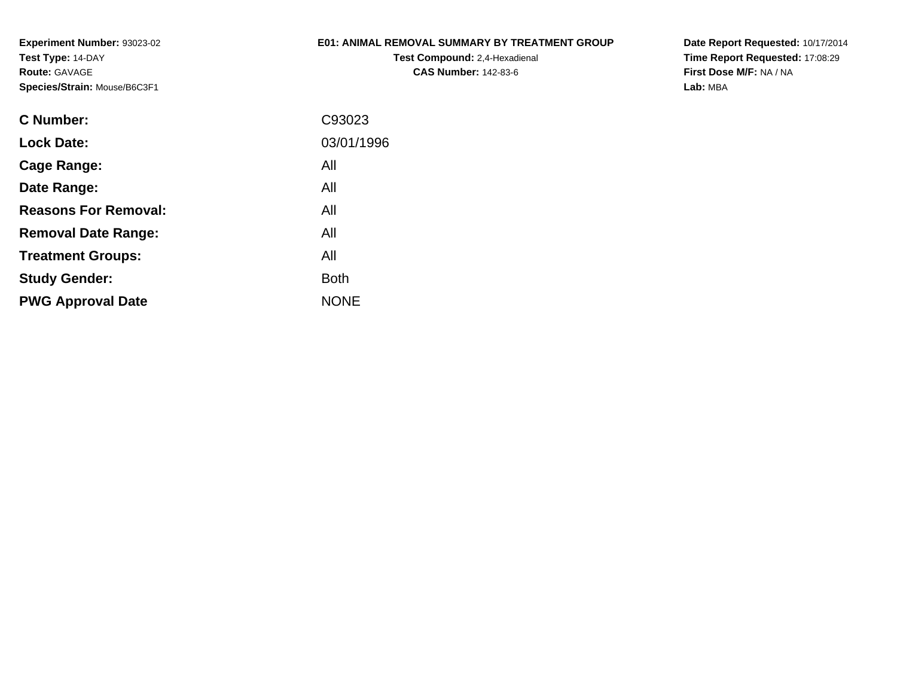## **E01: ANIMAL REMOVAL SUMMARY BY TREATMENT GROUP**

**Test Compound:** 2,4-Hexadienal **CAS Number:** 142-83-6

| C Number:                   | C93023      |
|-----------------------------|-------------|
| <b>Lock Date:</b>           | 03/01/1996  |
| Cage Range:                 | All         |
| Date Range:                 | All         |
| <b>Reasons For Removal:</b> | All         |
| <b>Removal Date Range:</b>  | All         |
| <b>Treatment Groups:</b>    | All         |
| <b>Study Gender:</b>        | Both        |
| <b>PWG Approval Date</b>    | <b>NONE</b> |
|                             |             |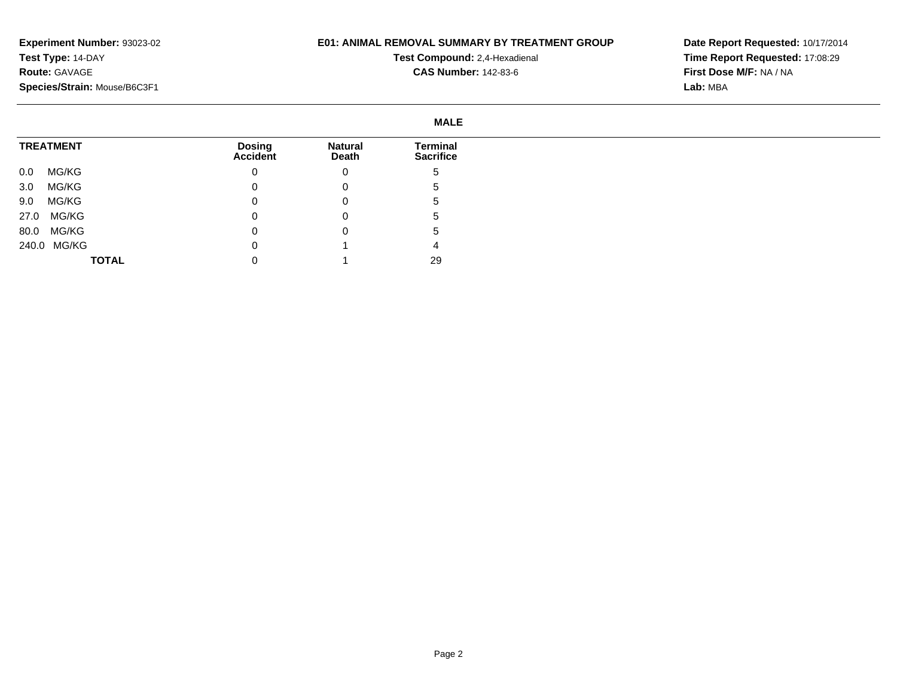## **E01: ANIMAL REMOVAL SUMMARY BY TREATMENT GROUP**

**Test Compound:** 2,4-Hexadienal **CAS Number:** 142-83-6

|                  |                           | <b>MALE</b>             |                              |  |
|------------------|---------------------------|-------------------------|------------------------------|--|
| <b>TREATMENT</b> | <b>Dosing</b><br>Accident | <b>Natural</b><br>Death | Terminal<br><b>Sacrifice</b> |  |
| MG/KG<br>$0.0\,$ | 0                         | 0                       | C                            |  |
| MG/KG<br>3.0     | 0                         | 0                       | э                            |  |
| MG/KG<br>9.0     | $\Omega$                  | 0                       | G                            |  |
| 27.0 MG/KG       | 0                         | 0                       | C                            |  |
| MG/KG<br>80.0    | 0                         | 0                       | ≎                            |  |
| 240.0 MG/KG      | 0                         |                         |                              |  |
| <b>TOTAL</b>     | 0                         |                         | 29                           |  |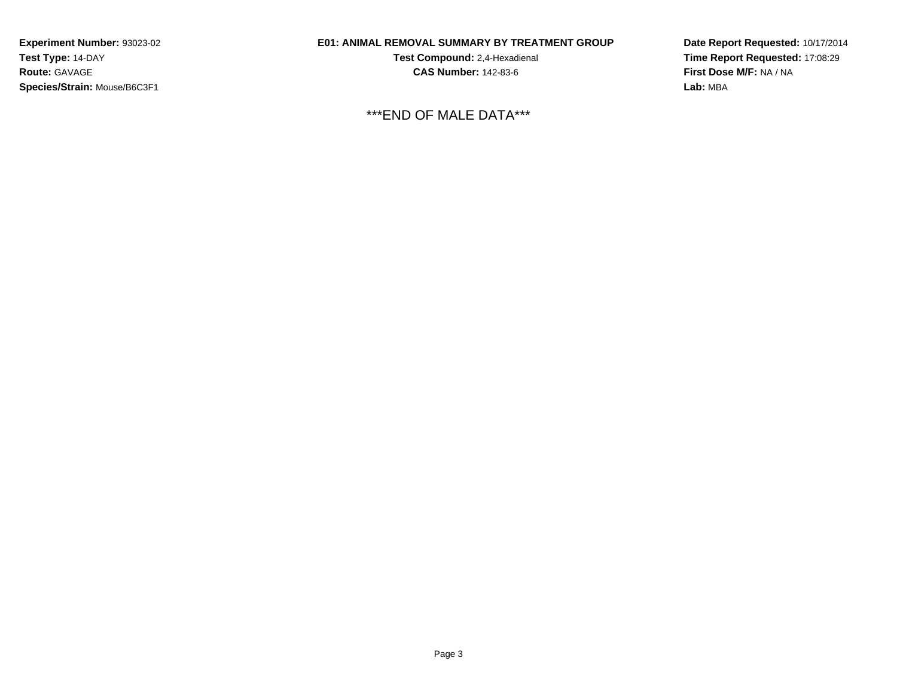## **E01: ANIMAL REMOVAL SUMMARY BY TREATMENT GROUP**

**Test Compound:** 2,4-Hexadienal **CAS Number:** 142-83-6

\*\*\*END OF MALE DATA\*\*\*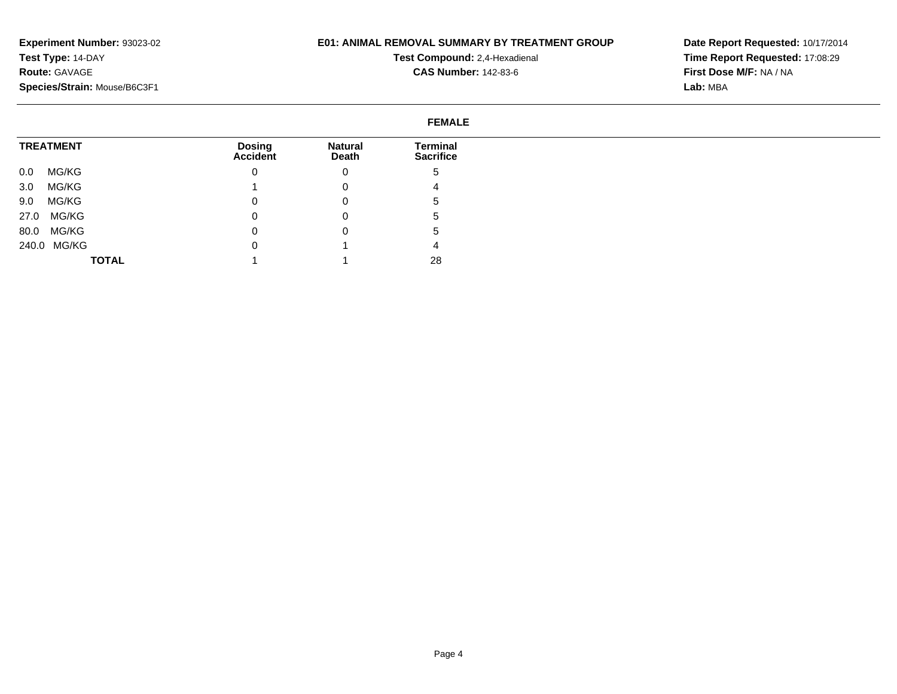## **E01: ANIMAL REMOVAL SUMMARY BY TREATMENT GROUP**

**Test Compound:** 2,4-Hexadienal **CAS Number:** 142-83-6

| <b>FEMALE</b>    |                                  |                         |                              |  |
|------------------|----------------------------------|-------------------------|------------------------------|--|
| <b>TREATMENT</b> | <b>Dosing</b><br><b>Accident</b> | <b>Natural</b><br>Death | Terminal<br><b>Sacrifice</b> |  |
| MG/KG<br>0.0     | $\mathbf{0}$                     | 0                       | .5                           |  |
| MG/KG<br>3.0     |                                  | 0                       | 4                            |  |
| MG/KG<br>9.0     | $\mathbf{0}$                     | 0                       | .5                           |  |
| MG/KG<br>27.0    | 0                                | 0                       | ు                            |  |
| MG/KG<br>80.0    | $\mathbf{0}$                     | 0                       | .5                           |  |
| 240.0 MG/KG      | $\mathbf 0$                      |                         | 4                            |  |
| <b>TOTAL</b>     |                                  |                         | 28                           |  |